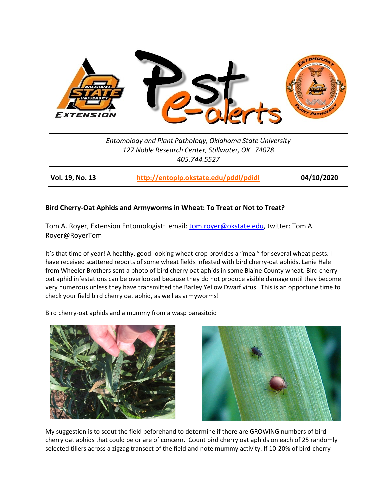

*Entomology and Plant Pathology, Oklahoma State University 127 Noble Research Center, Stillwater, OK 74078 405.744.5527*

**Vol. 19, No. 13 <http://entoplp.okstate.edu/pddl/pdidl> 04/10/2020**

## **Bird Cherry-Oat Aphids and Armyworms in Wheat: To Treat or Not to Treat?**

Tom A. Royer, Extension Entomologist: email: [tom.royer@okstate.edu,](mailto:tom.royer@okstate.edu) twitter: Tom A. Royer@RoyerTom

It's that time of year! A healthy, good-looking wheat crop provides a "meal" for several wheat pests. I have received scattered reports of some wheat fields infested with bird cherry-oat aphids. Lanie Hale from Wheeler Brothers sent a photo of bird cherry oat aphids in some Blaine County wheat. Bird cherryoat aphid infestations can be overlooked because they do not produce visible damage until they become very numerous unless they have transmitted the Barley Yellow Dwarf virus. This is an opportune time to check your field bird cherry oat aphid, as well as armyworms!

Bird cherry-oat aphids and a mummy from a wasp parasitoid





My suggestion is to scout the field beforehand to determine if there are GROWING numbers of bird cherry oat aphids that could be or are of concern. Count bird cherry oat aphids on each of 25 randomly selected tillers across a zigzag transect of the field and note mummy activity. If 10-20% of bird-cherry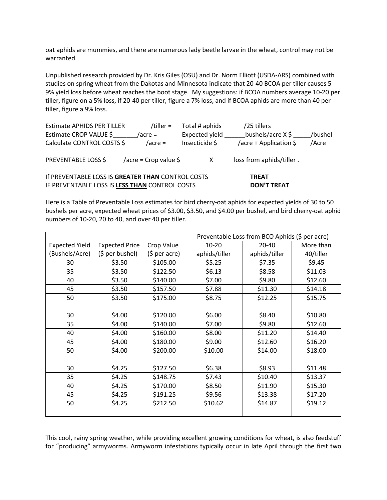oat aphids are mummies, and there are numerous lady beetle larvae in the wheat, control may not be warranted.

Unpublished research provided by Dr. Kris Giles (OSU) and Dr. Norm Elliott (USDA-ARS) combined with studies on spring wheat from the Dakotas and Minnesota indicate that 20-40 BCOA per tiller causes 5- 9% yield loss before wheat reaches the boot stage. My suggestions: if BCOA numbers average 10-20 per tiller, figure on a 5% loss, if 20-40 per tiller, figure a 7% loss, and if BCOA aphids are more than 40 per tiller, figure a 9% loss.

| <b>Estimate APHIDS PER TILLER</b> | /tiller =  | Total # aphids | /25 tillers            |         |
|-----------------------------------|------------|----------------|------------------------|---------|
| Estimate CROP VALUE \$            | /acre =    | Expected yield | bushels/acre X \$      | /bushel |
| Calculate CONTROL COSTS \$        | $/$ acre = | Insecticide S  | /acre + Application \$ | /Acre   |

PREVENTABLE LOSS  $\frac{\xi}{2}$  /acre = Crop value  $\frac{\xi}{2}$  x \_\_\_\_\_\_\_ loss from aphids/tiller .

If PREVENTABLE LOSS IS **GREATER THAN** CONTROL COSTS **TREAT** IF PREVENTABLE LOSS IS **LESS THAN** CONTROL COSTS **DON'T TREAT**

Here is a Table of Preventable Loss estimates for bird cherry-oat aphids for expected yields of 30 to 50 bushels per acre, expected wheat prices of \$3.00, \$3.50, and \$4.00 per bushel, and bird cherry-oat aphid numbers of 10-20, 20 to 40, and over 40 per tiller.

|                       |                       |               | Preventable Loss from BCO Aphids (\$ per acre) |               |           |
|-----------------------|-----------------------|---------------|------------------------------------------------|---------------|-----------|
| <b>Expected Yield</b> | <b>Expected Price</b> | Crop Value    | $10 - 20$                                      | 20-40         | More than |
| (Bushels/Acre)        | (\$ per bushel)       | (\$ per acre) | aphids/tiller                                  | aphids/tiller | 40/tiller |
| 30                    | \$3.50                | \$105.00      | \$5.25                                         | \$7.35        | \$9.45    |
| 35                    | \$3.50                | \$122.50      | \$6.13                                         | \$8.58        | \$11.03   |
| 40                    | \$3.50                | \$140.00      | \$7.00                                         | \$9.80        | \$12.60   |
| 45                    | \$3.50                | \$157.50      | \$7.88                                         | \$11.30       | \$14.18   |
| 50                    | \$3.50                | \$175.00      | \$8.75                                         | \$12.25       | \$15.75   |
|                       |                       |               |                                                |               |           |
| 30                    | \$4.00                | \$120.00      | \$6.00                                         | \$8.40        | \$10.80   |
| 35                    | \$4.00                | \$140.00      | \$7.00                                         | \$9.80        | \$12.60   |
| 40                    | \$4.00                | \$160.00      | \$8.00                                         | \$11.20       | \$14.40   |
| 45                    | \$4.00                | \$180.00      | \$9.00                                         | \$12.60       | \$16.20   |
| 50                    | \$4.00                | \$200.00      | \$10.00                                        | \$14.00       | \$18.00   |
|                       |                       |               |                                                |               |           |
| 30                    | \$4.25                | \$127.50      | \$6.38                                         | \$8.93        | \$11.48   |
| 35                    | \$4.25                | \$148.75      | \$7.43                                         | \$10.40       | \$13.37   |
| 40                    | \$4.25                | \$170.00      | \$8.50                                         | \$11.90       | \$15.30   |
| 45                    | \$4.25                | \$191.25      | \$9.56                                         | \$13.38       | \$17.20   |
| 50                    | \$4.25                | \$212.50      | \$10.62                                        | \$14.87       | \$19.12   |
|                       |                       |               |                                                |               |           |

This cool, rainy spring weather, while providing excellent growing conditions for wheat, is also feedstuff for "producing" armyworms. Armyworm infestations typically occur in late April through the first two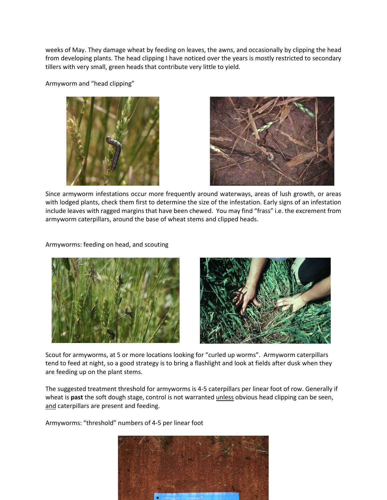weeks of May. They damage wheat by feeding on leaves, the awns, and occasionally by clipping the head from developing plants. The head clipping I have noticed over the years is mostly restricted to secondary tillers with very small, green heads that contribute very little to yield.

Armyworm and "head clipping"





Since armyworm infestations occur more frequently around waterways, areas of lush growth, or areas with lodged plants, check them first to determine the size of the infestation. Early signs of an infestation include leaves with ragged margins that have been chewed. You may find "frass" i.e. the excrement from armyworm caterpillars, around the base of wheat stems and clipped heads.

Armyworms: feeding on head, and scouting





Scout for armyworms, at 5 or more locations looking for "curled up worms". Armyworm caterpillars tend to feed at night, so a good strategy is to bring a flashlight and look at fields after dusk when they are feeding up on the plant stems.

The suggested treatment threshold for armyworms is 4-5 caterpillars per linear foot of row. Generally if wheat is **past** the soft dough stage, control is not warranted unless obvious head clipping can be seen, and caterpillars are present and feeding.

Armyworms: "threshold" numbers of 4-5 per linear foot